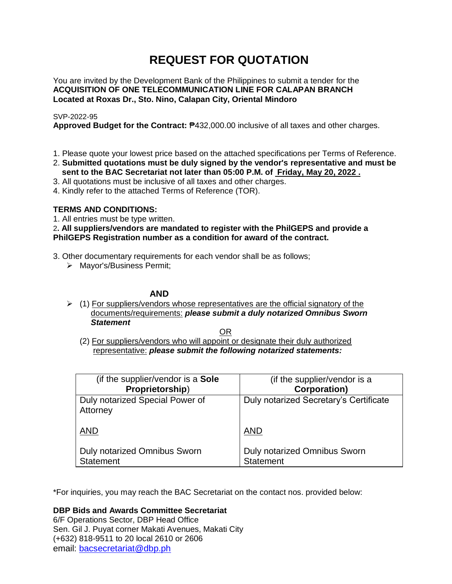# **REQUEST FOR QUOTATION**

You are invited by the Development Bank of the Philippines to submit a tender for the **ACQUISITION OF ONE TELECOMMUNICATION LINE FOR CALAPAN BRANCH Located at Roxas Dr., Sto. Nino, Calapan City, Oriental Mindoro**

# SVP-2022-95

**Approved Budget for the Contract:** ₱432,000.00 inclusive of all taxes and other charges.

- 1. Please quote your lowest price based on the attached specifications per Terms of Reference.
- 2. **Submitted quotations must be duly signed by the vendor's representative and must be sent to the BAC Secretariat not later than 05:00 P.M. of Friday, May 20, 2022 .**
- 3. All quotations must be inclusive of all taxes and other charges.
- 4. Kindly refer to the attached Terms of Reference (TOR).

# **TERMS AND CONDITIONS:**

1. All entries must be type written.

2**. All suppliers/vendors are mandated to register with the PhilGEPS and provide a PhilGEPS Registration number as a condition for award of the contract.**

- 3. Other documentary requirements for each vendor shall be as follows;
	- > Mayor's/Business Permit;

# **AND**

 $\geq$  (1) For suppliers/vendors whose representatives are the official signatory of the documents/requirements: *please submit a duly notarized Omnibus Sworn Statement*

<u>OR Starting and the Starting OR Starting</u>

(2) For suppliers/vendors who will appoint or designate their duly authorized representative: *please submit the following notarized statements:*

| (if the supplier/vendor is a Sole                | (if the supplier/vendor is a                     |
|--------------------------------------------------|--------------------------------------------------|
| Proprietorship)                                  | <b>Corporation)</b>                              |
| Duly notarized Special Power of<br>Attorney      | Duly notarized Secretary's Certificate           |
| <b>AND</b>                                       | <b>AND</b>                                       |
| Duly notarized Omnibus Sworn<br><b>Statement</b> | Duly notarized Omnibus Sworn<br><b>Statement</b> |

\*For inquiries, you may reach the BAC Secretariat on the contact nos. provided below:

**DBP Bids and Awards Committee Secretariat** 

6/F Operations Sector, DBP Head Office Sen. Gil J. Puyat corner Makati Avenues, Makati City (+632) 818-9511 to 20 local 2610 or 2606 email: [bacsecretariat@dbp.ph](mailto:bacsecretariat@dbp.ph)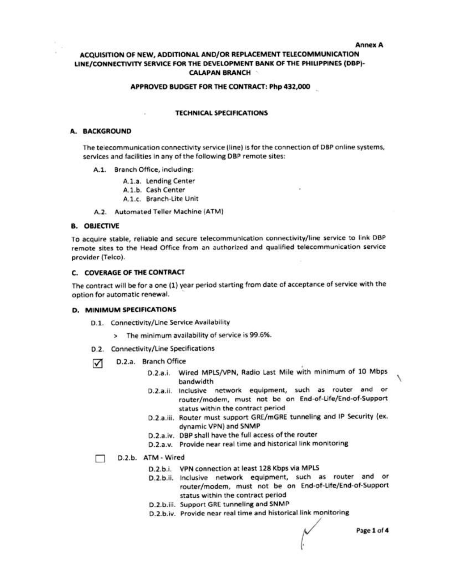### **Annex A**

# ACQUISITION OF NEW, ADDITIONAL AND/OR REPLACEMENT TELECOMMUNICATION LINE/CONNECTIVITY SERVICE FOR THE DEVELOPMENT BANK OF THE PHILIPPINES (DBP)-**CALAPAN BRANCH**

### APPROVED BUDGET FOR THE CONTRACT: Php 432,000

### **TECHNICAL SPECIFICATIONS**

### A. BACKGROUND

The telecommunication connectivity service (line) is for the connection of DBP online systems, services and facilities in any of the following DBP remote sites:

- A.1. Branch Office, including:
	- A.1.a. Lending Center
	- A.1.b. Cash Center
	- A.1.c. Branch-Lite Unit
- A.2. Automated Teller Machine (ATM)

### **B. OBJECTIVE**

To acquire stable, reliable and secure telecommunication connectivity/line service to link DBP remote sites to the Head Office from an authorized and qualified telecommunication service provider (Telco).

### C. COVERAGE OF THE CONTRACT

The contract will be for a one (1) year period starting from date of acceptance of service with the option for automatic renewal.

### **D. MINIMUM SPECIFICATIONS**

- D.1. Connectivity/Line Service Availability
	- > The minimum availability of service is 99.6%.
- D.2. Connectivity/Line Specifications
- D.2.a. Branch Office ⊽
	- D.2.a.i. Wired MPLS/VPN, Radio Last Mile with minimum of 10 Mbps bandwidth
	- D.2.a.ii. Inclusive network equipment, such as router and or router/modem, must not be on End-of-Life/End-of-Support status within the contract period
	- D.2.a.iii. Router must support GRE/mGRE tunneling and IP Security (ex. dynamic VPN) and SNMP
	- D.2.a.iv. DBP shall have the full access of the router
	- D.2.a.v. Provide near real time and historical link monitoring

#### D.2.b. ATM - Wired п

- D.2.b.i. VPN connection at least 128 Kbps via MPLS
- D.2.b.ii. Inclusive network equipment, such as router and or router/modem, must not be on End-of-Life/End-of-Support status within the contract period
- D.2.b.iii. Support GRE tunneling and SNMP
- D.2.b.iv. Provide near real time and historical link monitoring

Page 1 of 4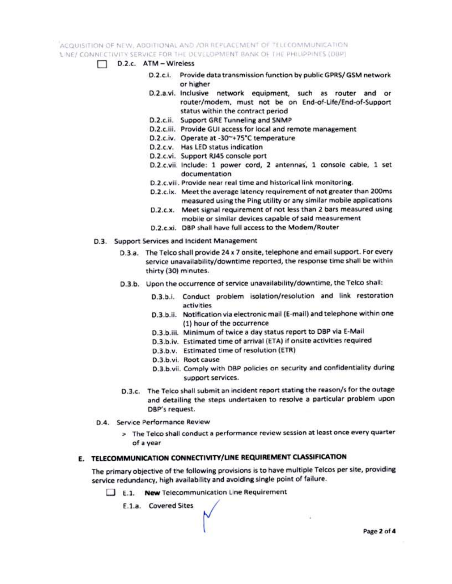# ACQUISITION OF NEW, ADDITIONAL AND JOR REPLACEMENT OF TELECOMMUNICATION LINE/ CONNECTIVITY SERVICE FOR THE DEVELOPMENT BANK OF THE PHILIPPINES (DBP)

- D.2.c. ATM Wireless
	- D.2.c.i. Provide data transmission function by public GPRS/GSM network or higher
	- D.2.a.vi. Inclusive network equipment, such as router and or router/modem, must not be on End-of-Life/End-of-Support status within the contract period
	- D.2.c.ii. Support GRE Tunneling and SNMP
	- D.2.c.iii. Provide GUI access for local and remote management
	- D.2.c.iv. Operate at -30~+75°C temperature
	- D.2.c.v. Has LED status indication
	- D.2.c.vi. Support RJ45 console port
	- D.2.c.vii. Include: 1 power cord, 2 antennas, 1 console cable, 1 set documentation
	- D.2.c.viii. Provide near real time and historical link monitoring.
	- D.2.c.ix. Meet the average latency requirement of not greater than 200ms measured using the Ping utility or any similar mobile applications
	- D.2.c.x. Meet signal requirement of not less than 2 bars measured using mobile or similar devices capable of said measurement
	- D.2.c.xi. DBP shall have full access to the Modem/Router
- D.3. Support Services and Incident Management
	- D.3.a. The Telco shall provide 24 x 7 onsite, telephone and email support. For every service unavailability/downtime reported, the response time shall be within thirty (30) minutes.
	- D.3.b. Upon the occurrence of service unavailability/downtime, the Telco shall:
		- D.3.b.i. Conduct problem isolation/resolution and link restoration activities
		- D.3.b.ii. Notification via electronic mail (E-mail) and telephone within one (1) hour of the occurrence
		- D.3.b.iii. Minimum of twice a day status report to DBP via E-Mail
		- D.3.b.iv. Estimated time of arrival (ETA) if onsite activities required
		- D.3.b.v. Estimated time of resolution (ETR)
		- D.3.b.vi. Root cause
		- D.3.b.vii. Comply with DBP policies on security and confidentiality during support services.
	- D.3.c. The Telco shall submit an incident report stating the reason/s for the outage and detailing the steps undertaken to resolve a particular problem upon DBP's request.
- D.4. Service Performance Review
	- > The Telco shall conduct a performance review session at least once every quarter of a year

### E. TELECOMMUNICATION CONNECTIVITY/LINE REQUIREMENT CLASSIFICATION

The primary objective of the following provisions is to have multiple Teicos per site, providing service redundancy, high availability and avoiding single point of failure.

- E.1. New Telecommunication Line Requirement
	- E.1.a. Covered Sites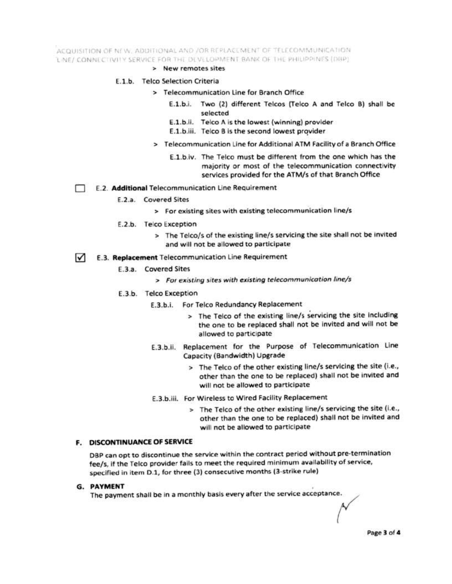ACQUISITION OF NEW, ADDITIONAL AND /OR REPLACEMENT OF TELECOMMUNICATION LINE/ CONNI CTIVITY SERVICE FOR THE DEVELOPMENT BANK OF THE PHILIPPINES (DBP).

### > New remotes sites

### E.1.b. Telco Selection Criteria

- > Telecommunication Line for Branch Office
	- E.1.b.i. Two (2) different Telcos (Telco A and Telco B) shall be selected
	- E.1.b.ii. Telco A is the lowest (winning) provider
	- E.1.b.iii. Telco B is the second lowest provider
- > Telecommunication Line for Additional ATM Facility of a Branch Office
	- E.1.b.iv. The Telco must be different from the one which has the majority or most of the telecommunication connectivity services provided for the ATM/s of that Branch Office
- E.2. Additional Telecommunication Line Requirement
	- E.2.a. Covered Sites
		- > For existing sites with existing telecommunication line/s
	- E.2.b. Telco Exception
		- > The Telco/s of the existing line/s servicing the site shall not be invited and will not be allowed to participate
- E.3. Replacement Telecommunication Line Requirement  $\overline{\mathcal{M}}$ 
	- E.3.a. Covered Sites
		- > For existing sites with existing telecommunication line/s
	- E.3.b. Telco Exception
		- E.3.b.i. For Telco Redundancy Replacement
			- > The Telco of the existing line/s servicing the site including the one to be replaced shall not be invited and will not be allowed to participate
		- E.3.b.ii. Replacement for the Purpose of Telecommunication Line Capacity (Bandwidth) Upgrade
			- > The Telco of the other existing line/s servicing the site (i.e., other than the one to be replaced) shall not be invited and will not be allowed to participate
		- E.3.b.iii. For Wireless to Wired Facility Replacement
			- > The Telco of the other existing line/s servicing the site (i.e., other than the one to be replaced) shall not be invited and will not be allowed to participate

### F. DISCONTINUANCE OF SERVICE

DBP can opt to discontinue the service within the contract period without pre-termination fee/s, if the Telco provider fails to meet the required minimum availability of service, specified in item D.1, for three (3) consecutive months (3-strike rule)

### G. PAYMENT

The payment shall be in a monthly basis every after the service acceptance.

Page 3 of 4